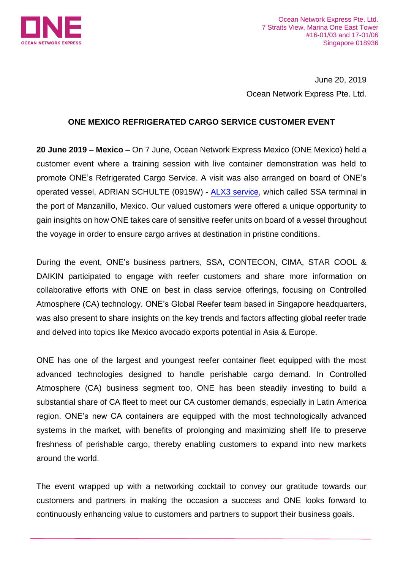

Ocean Network Express Pte. Ltd. 7 Straits View, Marina One East Tower #16-01/03 and 17-01/06 Singapore 018936

June 20, 2019 Ocean Network Express Pte. Ltd.

## **ONE MEXICO REFRIGERATED CARGO SERVICE CUSTOMER EVENT**

**20 June 2019 – Mexico –** On 7 June, Ocean Network Express Mexico (ONE Mexico) held a customer event where a training session with live container demonstration was held to promote ONE's Refrigerated Cargo Service. A visit was also arranged on board of ONE's operated vessel, ADRIAN SCHULTE (0915W) - [ALX3 service,](https://www.one-line.com/sites/g/files/lnzjqr776/files/routes/08-03_LatinAmerica_Asia_Latin_Express_3.pdf) which called SSA terminal in the port of Manzanillo, Mexico. Our valued customers were offered a unique opportunity to gain insights on how ONE takes care of sensitive reefer units on board of a vessel throughout the voyage in order to ensure cargo arrives at destination in pristine conditions.

During the event, ONE's business partners, SSA, CONTECON, CIMA, STAR COOL & DAIKIN participated to engage with reefer customers and share more information on collaborative efforts with ONE on best in class service offerings, focusing on Controlled Atmosphere (CA) technology. ONE's Global Reefer team based in Singapore headquarters, was also present to share insights on the key trends and factors affecting global reefer trade and delved into topics like Mexico avocado exports potential in Asia & Europe.

ONE has one of the largest and youngest reefer container fleet equipped with the most advanced technologies designed to handle perishable cargo demand. In Controlled Atmosphere (CA) business segment too, ONE has been steadily investing to build a substantial share of CA fleet to meet our CA customer demands, especially in Latin America region. ONE's new CA containers are equipped with the most technologically advanced systems in the market, with benefits of prolonging and maximizing shelf life to preserve freshness of perishable cargo, thereby enabling customers to expand into new markets around the world.

The event wrapped up with a networking cocktail to convey our gratitude towards our customers and partners in making the occasion a success and ONE looks forward to continuously enhancing value to customers and partners to support their business goals.